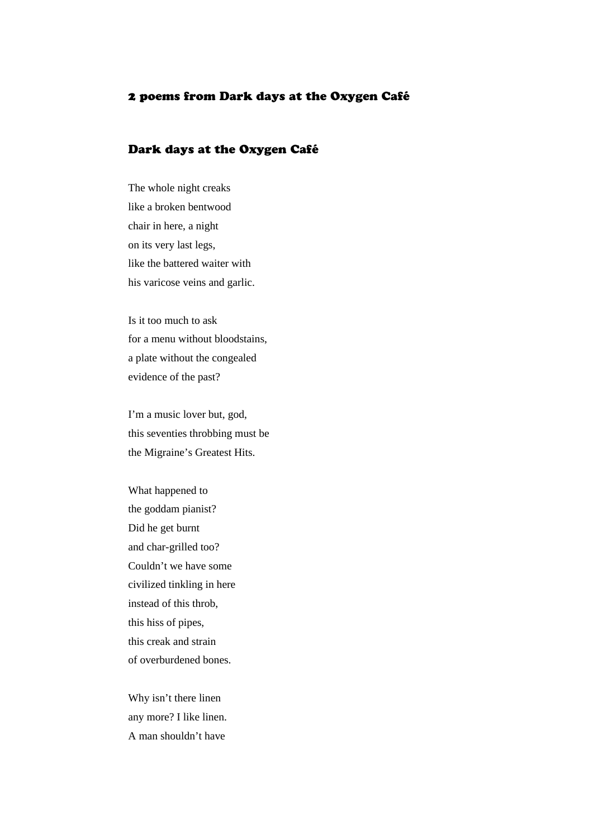## 2 poems from Dark days at the Oxygen Café

## Dark days at the Oxygen Café

The whole night creaks like a broken bentwood chair in here, a night on its very last legs, like the battered waiter with his varicose veins and garlic.

Is it too much to ask for a menu without bloodstains, a plate without the congealed evidence of the past?

I'm a music lover but, god, this seventies throbbing must be the Migraine's Greatest Hits.

What happened to the goddam pianist? Did he get burnt and char-grilled too? Couldn't we have some civilized tinkling in here instead of this throb, this hiss of pipes, this creak and strain of overburdened bones.

Why isn't there linen any more? I like linen. A man shouldn't have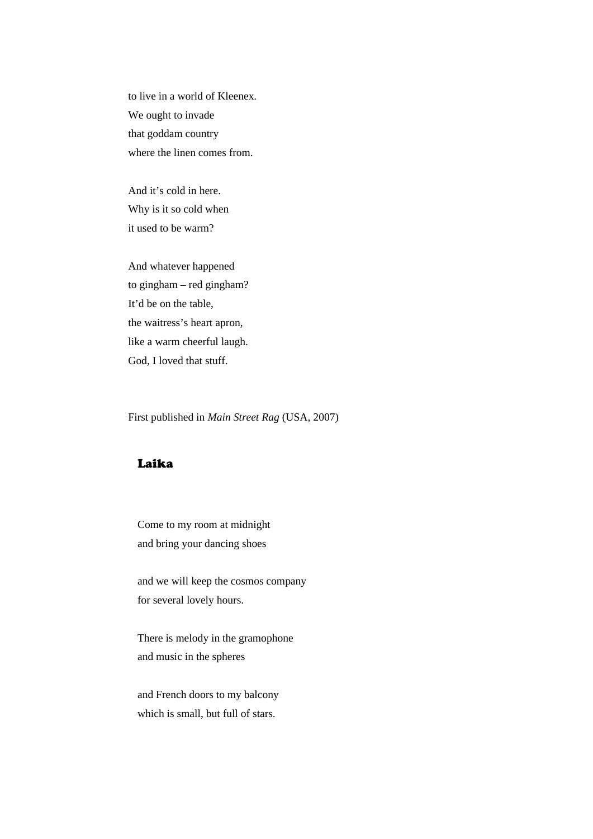to live in a world of Kleenex. We ought to invade that goddam country where the linen comes from.

And it's cold in here. Why is it so cold when it used to be warm?

And whatever happened to gingham – red gingham? It'd be on the table, the waitress's heart apron, like a warm cheerful laugh. God, I loved that stuff.

First published in *Main Street Rag* (USA, 2007)

## Laika

Come to my room at midnight and bring your dancing shoes

and we will keep the cosmos company for several lovely hours.

There is melody in the gramophone and music in the spheres

and French doors to my balcony which is small, but full of stars.